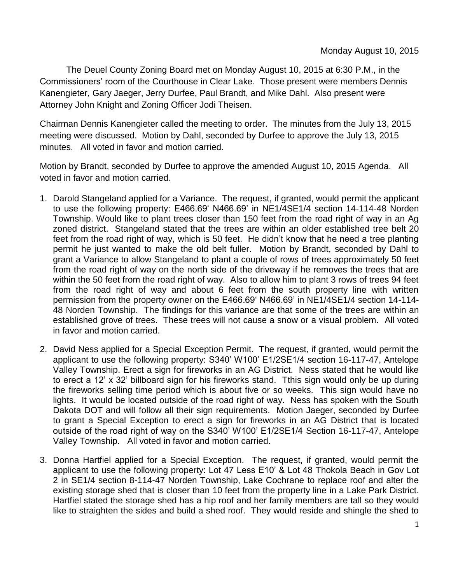The Deuel County Zoning Board met on Monday August 10, 2015 at 6:30 P.M., in the Commissioners' room of the Courthouse in Clear Lake. Those present were members Dennis Kanengieter, Gary Jaeger, Jerry Durfee, Paul Brandt, and Mike Dahl. Also present were Attorney John Knight and Zoning Officer Jodi Theisen.

Chairman Dennis Kanengieter called the meeting to order. The minutes from the July 13, 2015 meeting were discussed. Motion by Dahl, seconded by Durfee to approve the July 13, 2015 minutes. All voted in favor and motion carried.

Motion by Brandt, seconded by Durfee to approve the amended August 10, 2015 Agenda. All voted in favor and motion carried.

- 1. Darold Stangeland applied for a Variance. The request, if granted, would permit the applicant to use the following property: E466.69' N466.69' in NE1/4SE1/4 section 14-114-48 Norden Township. Would like to plant trees closer than 150 feet from the road right of way in an Ag zoned district. Stangeland stated that the trees are within an older established tree belt 20 feet from the road right of way, which is 50 feet. He didn't know that he need a tree planting permit he just wanted to make the old belt fuller. Motion by Brandt, seconded by Dahl to grant a Variance to allow Stangeland to plant a couple of rows of trees approximately 50 feet from the road right of way on the north side of the driveway if he removes the trees that are within the 50 feet from the road right of way. Also to allow him to plant 3 rows of trees 94 feet from the road right of way and about 6 feet from the south property line with written permission from the property owner on the E466.69' N466.69' in NE1/4SE1/4 section 14-114- 48 Norden Township. The findings for this variance are that some of the trees are within an established grove of trees. These trees will not cause a snow or a visual problem. All voted in favor and motion carried.
- 2. David Ness applied for a Special Exception Permit. The request, if granted, would permit the applicant to use the following property: S340' W100' E1/2SE1/4 section 16-117-47, Antelope Valley Township. Erect a sign for fireworks in an AG District. Ness stated that he would like to erect a 12' x 32' billboard sign for his fireworks stand. Tthis sign would only be up during the fireworks selling time period which is about five or so weeks. This sign would have no lights. It would be located outside of the road right of way. Ness has spoken with the South Dakota DOT and will follow all their sign requirements. Motion Jaeger, seconded by Durfee to grant a Special Exception to erect a sign for fireworks in an AG District that is located outside of the road right of way on the S340' W100' E1/2SE1/4 Section 16-117-47, Antelope Valley Township. All voted in favor and motion carried.
- 3. Donna Hartfiel applied for a Special Exception. The request, if granted, would permit the applicant to use the following property: Lot 47 Less E10' & Lot 48 Thokola Beach in Gov Lot 2 in SE1/4 section 8-114-47 Norden Township, Lake Cochrane to replace roof and alter the existing storage shed that is closer than 10 feet from the property line in a Lake Park District. Hartfiel stated the storage shed has a hip roof and her family members are tall so they would like to straighten the sides and build a shed roof. They would reside and shingle the shed to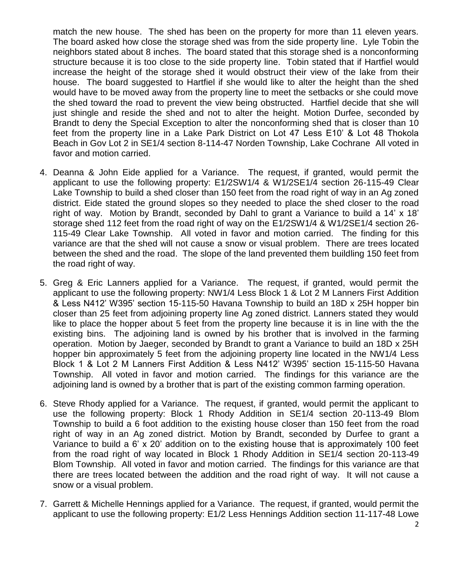match the new house. The shed has been on the property for more than 11 eleven years. The board asked how close the storage shed was from the side property line. Lyle Tobin the neighbors stated about 8 inches. The board stated that this storage shed is a nonconforming structure because it is too close to the side property line. Tobin stated that if Hartfiel would increase the height of the storage shed it would obstruct their view of the lake from their house. The board suggested to Hartfiel if she would like to alter the height than the shed would have to be moved away from the property line to meet the setbacks or she could move the shed toward the road to prevent the view being obstructed. Hartfiel decide that she will just shingle and reside the shed and not to alter the height. Motion Durfee, seconded by Brandt to deny the Special Exception to alter the nonconforming shed that is closer than 10 feet from the property line in a Lake Park District on Lot 47 Less E10' & Lot 48 Thokola Beach in Gov Lot 2 in SE1/4 section 8-114-47 Norden Township, Lake Cochrane All voted in favor and motion carried.

- 4. Deanna & John Eide applied for a Variance. The request, if granted, would permit the applicant to use the following property: E1/2SW1/4 & W1/2SE1/4 section 26-115-49 Clear Lake Township to build a shed closer than 150 feet from the road right of way in an Ag zoned district. Eide stated the ground slopes so they needed to place the shed closer to the road right of way. Motion by Brandt, seconded by Dahl to grant a Variance to build a 14' x 18' storage shed 112 feet from the road right of way on the E1/2SW1/4 & W1/2SE1/4 section 26-115-49 Clear Lake Township. All voted in favor and motion carried. The finding for this variance are that the shed will not cause a snow or visual problem. There are trees located between the shed and the road. The slope of the land prevented them buildling 150 feet from the road right of way.
- 5. Greg & Eric Lanners applied for a Variance. The request, if granted, would permit the applicant to use the following property: NW1/4 Less Block 1 & Lot 2 M Lanners First Addition & Less N412' W395' section 15-115-50 Havana Township to build an 18D x 25H hopper bin closer than 25 feet from adjoining property line Ag zoned district. Lanners stated they would like to place the hopper about 5 feet from the property line because it is in line with the the existing bins. The adjoining land is owned by his brother that is involved in the farming operation. Motion by Jaeger, seconded by Brandt to grant a Variance to build an 18D x 25H hopper bin approximately 5 feet from the adjoining property line located in the NW1/4 Less Block 1 & Lot 2 M Lanners First Addition & Less N412' W395' section 15-115-50 Havana Township. All voted in favor and motion carried. The findings for this variance are the adjoining land is owned by a brother that is part of the existing common farming operation.
- 6. Steve Rhody applied for a Variance. The request, if granted, would permit the applicant to use the following property: Block 1 Rhody Addition in SE1/4 section 20-113-49 Blom Township to build a 6 foot addition to the existing house closer than 150 feet from the road right of way in an Ag zoned district. Motion by Brandt, seconded by Durfee to grant a Variance to build a 6' x 20' addition on to the existing house that is approximately 100 feet from the road right of way located in Block 1 Rhody Addition in SE1/4 section 20-113-49 Blom Township. All voted in favor and motion carried. The findings for this variance are that there are trees located between the addition and the road right of way. It will not cause a snow or a visual problem.
- 7. Garrett & Michelle Hennings applied for a Variance. The request, if granted, would permit the applicant to use the following property: E1/2 Less Hennings Addition section 11-117-48 Lowe